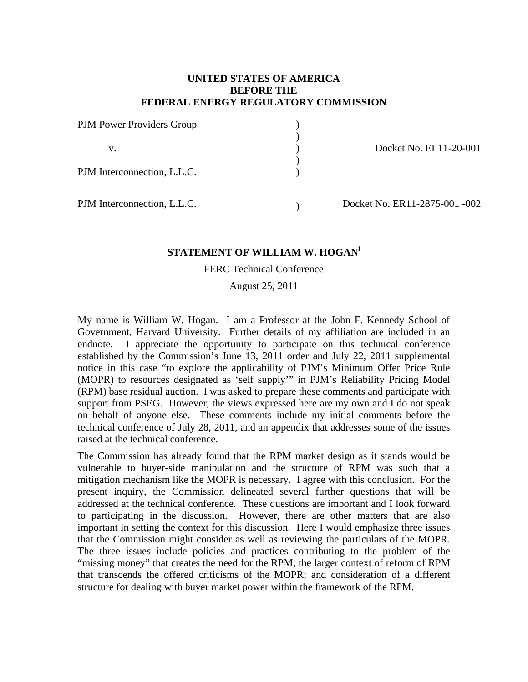## **UNITED STATES OF AMERICA BEFORE THE FEDERAL ENERGY REGULATORY COMMISSION**

| PJM Power Providers Group<br>v.<br>PJM Interconnection, L.L.C. |                        |
|----------------------------------------------------------------|------------------------|
|                                                                | Docket No. EL11-20-001 |
|                                                                |                        |

# **STATEMENT OF WILLIAM W. HOGAN<sup>i</sup>**

FERC Technical Conference

August 25, 2011

My name is William W. Hogan. I am a Professor at the John F. Kennedy School of Government, Harvard University. Further details of my affiliation are included in an endnote. I appreciate the opportunity to participate on this technical conference established by the Commission's June 13, 2011 order and July 22, 2011 supplemental notice in this case "to explore the applicability of PJM's Minimum Offer Price Rule (MOPR) to resources designated as 'self supply'" in PJM's Reliability Pricing Model (RPM) base residual auction. I was asked to prepare these comments and participate with support from PSEG. However, the views expressed here are my own and I do not speak on behalf of anyone else. These comments include my initial comments before the technical conference of July 28, 2011, and an appendix that addresses some of the issues raised at the technical conference.

The Commission has already found that the RPM market design as it stands would be vulnerable to buyer-side manipulation and the structure of RPM was such that a mitigation mechanism like the MOPR is necessary. I agree with this conclusion. For the present inquiry, the Commission delineated several further questions that will be addressed at the technical conference. These questions are important and I look forward to participating in the discussion. However, there are other matters that are also important in setting the context for this discussion. Here I would emphasize three issues that the Commission might consider as well as reviewing the particulars of the MOPR. The three issues include policies and practices contributing to the problem of the "missing money" that creates the need for the RPM; the larger context of reform of RPM that transcends the offered criticisms of the MOPR; and consideration of a different structure for dealing with buyer market power within the framework of the RPM.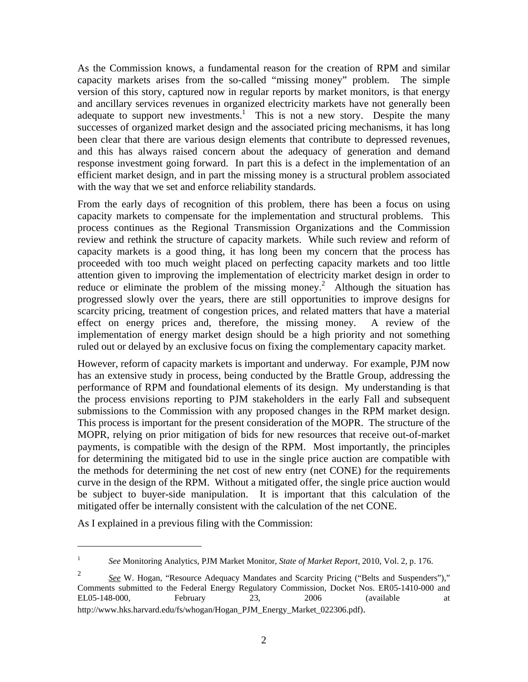As the Commission knows, a fundamental reason for the creation of RPM and similar capacity markets arises from the so-called "missing money" problem. The simple version of this story, captured now in regular reports by market monitors, is that energy and ancillary services revenues in organized electricity markets have not generally been adequate to support new investments.<sup>1</sup> This is not a new story. Despite the many successes of organized market design and the associated pricing mechanisms, it has long been clear that there are various design elements that contribute to depressed revenues, and this has always raised concern about the adequacy of generation and demand response investment going forward. In part this is a defect in the implementation of an efficient market design, and in part the missing money is a structural problem associated with the way that we set and enforce reliability standards.

From the early days of recognition of this problem, there has been a focus on using capacity markets to compensate for the implementation and structural problems. This process continues as the Regional Transmission Organizations and the Commission review and rethink the structure of capacity markets. While such review and reform of capacity markets is a good thing, it has long been my concern that the process has proceeded with too much weight placed on perfecting capacity markets and too little attention given to improving the implementation of electricity market design in order to reduce or eliminate the problem of the missing money.<sup>2</sup> Although the situation has progressed slowly over the years, there are still opportunities to improve designs for scarcity pricing, treatment of congestion prices, and related matters that have a material effect on energy prices and, therefore, the missing money. A review of the implementation of energy market design should be a high priority and not something ruled out or delayed by an exclusive focus on fixing the complementary capacity market.

However, reform of capacity markets is important and underway. For example, PJM now has an extensive study in process, being conducted by the Brattle Group, addressing the performance of RPM and foundational elements of its design. My understanding is that the process envisions reporting to PJM stakeholders in the early Fall and subsequent submissions to the Commission with any proposed changes in the RPM market design. This process is important for the present consideration of the MOPR. The structure of the MOPR, relying on prior mitigation of bids for new resources that receive out-of-market payments, is compatible with the design of the RPM. Most importantly, the principles for determining the mitigated bid to use in the single price auction are compatible with the methods for determining the net cost of new entry (net CONE) for the requirements curve in the design of the RPM. Without a mitigated offer, the single price auction would be subject to buyer-side manipulation. It is important that this calculation of the mitigated offer be internally consistent with the calculation of the net CONE.

As I explained in a previous filing with the Commission:

<sup>1</sup> *See* Monitoring Analytics, PJM Market Monitor, *State of Market Report*, 2010, Vol. 2, p. 176.

<sup>2</sup> *See* W. Hogan, "Resource Adequacy Mandates and Scarcity Pricing ("Belts and Suspenders")," Comments submitted to the Federal Energy Regulatory Commission, Docket Nos. ER05-1410-000 and EL05-148-000, February 23, 2006 (available at http://www.hks.harvard.edu/fs/whogan/Hogan\_PJM\_Energy\_Market\_022306.pdf).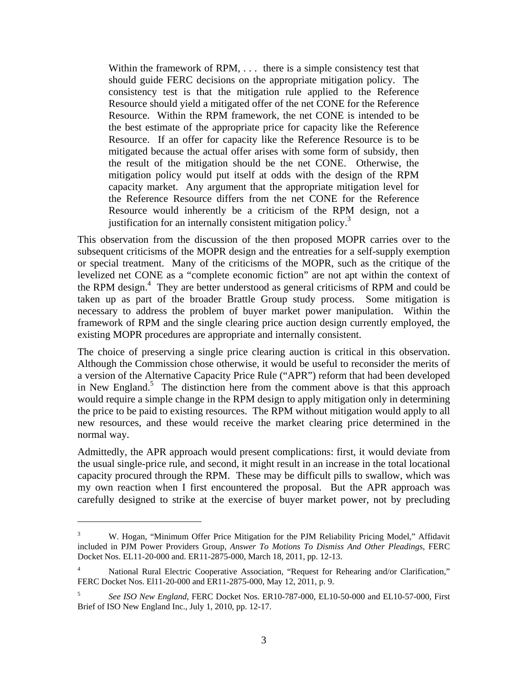Within the framework of RPM, ... there is a simple consistency test that should guide FERC decisions on the appropriate mitigation policy. The consistency test is that the mitigation rule applied to the Reference Resource should yield a mitigated offer of the net CONE for the Reference Resource. Within the RPM framework, the net CONE is intended to be the best estimate of the appropriate price for capacity like the Reference Resource. If an offer for capacity like the Reference Resource is to be mitigated because the actual offer arises with some form of subsidy, then the result of the mitigation should be the net CONE. Otherwise, the mitigation policy would put itself at odds with the design of the RPM capacity market. Any argument that the appropriate mitigation level for the Reference Resource differs from the net CONE for the Reference Resource would inherently be a criticism of the RPM design, not a justification for an internally consistent mitigation policy.<sup>3</sup>

This observation from the discussion of the then proposed MOPR carries over to the subsequent criticisms of the MOPR design and the entreaties for a self-supply exemption or special treatment. Many of the criticisms of the MOPR, such as the critique of the levelized net CONE as a "complete economic fiction" are not apt within the context of the RPM design.<sup>4</sup> They are better understood as general criticisms of RPM and could be taken up as part of the broader Brattle Group study process. Some mitigation is necessary to address the problem of buyer market power manipulation. Within the framework of RPM and the single clearing price auction design currently employed, the existing MOPR procedures are appropriate and internally consistent.

The choice of preserving a single price clearing auction is critical in this observation. Although the Commission chose otherwise, it would be useful to reconsider the merits of a version of the Alternative Capacity Price Rule ("APR") reform that had been developed in New England.<sup>5</sup> The distinction here from the comment above is that this approach would require a simple change in the RPM design to apply mitigation only in determining the price to be paid to existing resources. The RPM without mitigation would apply to all new resources, and these would receive the market clearing price determined in the normal way.

Admittedly, the APR approach would present complications: first, it would deviate from the usual single-price rule, and second, it might result in an increase in the total locational capacity procured through the RPM. These may be difficult pills to swallow, which was my own reaction when I first encountered the proposal. But the APR approach was carefully designed to strike at the exercise of buyer market power, not by precluding

1

<sup>3</sup> W. Hogan, "Minimum Offer Price Mitigation for the PJM Reliability Pricing Model," Affidavit included in PJM Power Providers Group, *Answer To Motions To Dismiss And Other Pleadings*, FERC Docket Nos. EL11-20-000 and. ER11-2875-000, March 18, 2011, pp. 12-13.

<sup>4</sup> National Rural Electric Cooperative Association, "Request for Rehearing and/or Clarification," FERC Docket Nos. El11-20-000 and ER11-2875-000, May 12, 2011, p. 9.

<sup>5</sup> *See ISO New England*, FERC Docket Nos. ER10-787-000, EL10-50-000 and EL10-57-000, First Brief of ISO New England Inc., July 1, 2010, pp. 12-17.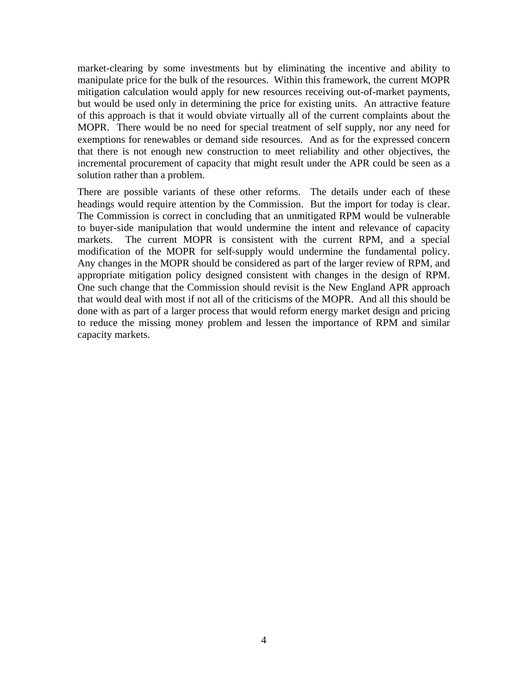market-clearing by some investments but by eliminating the incentive and ability to manipulate price for the bulk of the resources. Within this framework, the current MOPR mitigation calculation would apply for new resources receiving out-of-market payments, but would be used only in determining the price for existing units. An attractive feature of this approach is that it would obviate virtually all of the current complaints about the MOPR. There would be no need for special treatment of self supply, nor any need for exemptions for renewables or demand side resources. And as for the expressed concern that there is not enough new construction to meet reliability and other objectives, the incremental procurement of capacity that might result under the APR could be seen as a solution rather than a problem.

There are possible variants of these other reforms. The details under each of these headings would require attention by the Commission. But the import for today is clear. The Commission is correct in concluding that an unmitigated RPM would be vulnerable to buyer-side manipulation that would undermine the intent and relevance of capacity markets. The current MOPR is consistent with the current RPM, and a special modification of the MOPR for self-supply would undermine the fundamental policy. Any changes in the MOPR should be considered as part of the larger review of RPM, and appropriate mitigation policy designed consistent with changes in the design of RPM. One such change that the Commission should revisit is the New England APR approach that would deal with most if not all of the criticisms of the MOPR. And all this should be done with as part of a larger process that would reform energy market design and pricing to reduce the missing money problem and lessen the importance of RPM and similar capacity markets.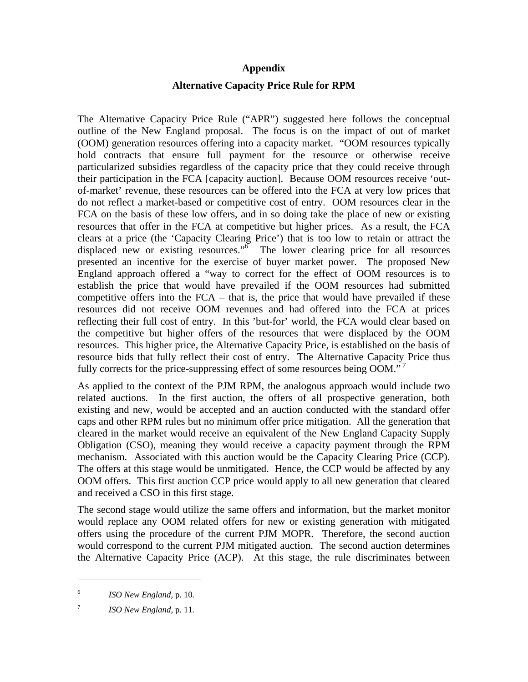### **Appendix**

## **Alternative Capacity Price Rule for RPM**

The Alternative Capacity Price Rule ("APR") suggested here follows the conceptual outline of the New England proposal. The focus is on the impact of out of market (OOM) generation resources offering into a capacity market. "OOM resources typically hold contracts that ensure full payment for the resource or otherwise receive particularized subsidies regardless of the capacity price that they could receive through their participation in the FCA [capacity auction]. Because OOM resources receive 'outof-market' revenue, these resources can be offered into the FCA at very low prices that do not reflect a market-based or competitive cost of entry. OOM resources clear in the FCA on the basis of these low offers, and in so doing take the place of new or existing resources that offer in the FCA at competitive but higher prices. As a result, the FCA clears at a price (the 'Capacity Clearing Price') that is too low to retain or attract the displaced new or existing resources." $\delta$  The lower clearing price for all resources presented an incentive for the exercise of buyer market power. The proposed New England approach offered a "way to correct for the effect of OOM resources is to establish the price that would have prevailed if the OOM resources had submitted competitive offers into the  $FCA$  – that is, the price that would have prevailed if these resources did not receive OOM revenues and had offered into the FCA at prices reflecting their full cost of entry. In this 'but-for' world, the FCA would clear based on the competitive but higher offers of the resources that were displaced by the OOM resources. This higher price, the Alternative Capacity Price, is established on the basis of resource bids that fully reflect their cost of entry. The Alternative Capacity Price thus fully corrects for the price-suppressing effect of some resources being  $OOM.^{37}$ .

As applied to the context of the PJM RPM, the analogous approach would include two related auctions. In the first auction, the offers of all prospective generation, both existing and new, would be accepted and an auction conducted with the standard offer caps and other RPM rules but no minimum offer price mitigation. All the generation that cleared in the market would receive an equivalent of the New England Capacity Supply Obligation (CSO), meaning they would receive a capacity payment through the RPM mechanism. Associated with this auction would be the Capacity Clearing Price (CCP). The offers at this stage would be unmitigated. Hence, the CCP would be affected by any OOM offers. This first auction CCP price would apply to all new generation that cleared and received a CSO in this first stage.

The second stage would utilize the same offers and information, but the market monitor would replace any OOM related offers for new or existing generation with mitigated offers using the procedure of the current PJM MOPR. Therefore, the second auction would correspond to the current PJM mitigated auction. The second auction determines the Alternative Capacity Price (ACP). At this stage, the rule discriminates between

1

<sup>6</sup> *ISO New England,* p. 10*.*

<sup>7</sup> *ISO New England,* p. 11*.*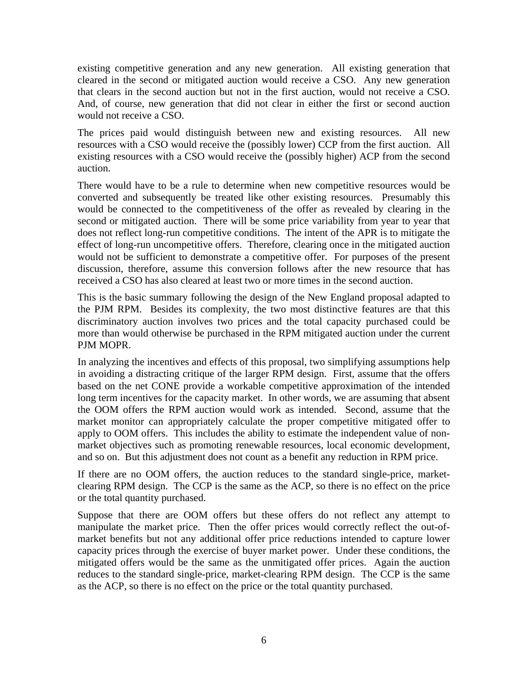existing competitive generation and any new generation. All existing generation that cleared in the second or mitigated auction would receive a CSO. Any new generation that clears in the second auction but not in the first auction, would not receive a CSO. And, of course, new generation that did not clear in either the first or second auction would not receive a CSO.

The prices paid would distinguish between new and existing resources. All new resources with a CSO would receive the (possibly lower) CCP from the first auction. All existing resources with a CSO would receive the (possibly higher) ACP from the second auction.

There would have to be a rule to determine when new competitive resources would be converted and subsequently be treated like other existing resources. Presumably this would be connected to the competitiveness of the offer as revealed by clearing in the second or mitigated auction. There will be some price variability from year to year that does not reflect long-run competitive conditions. The intent of the APR is to mitigate the effect of long-run uncompetitive offers. Therefore, clearing once in the mitigated auction would not be sufficient to demonstrate a competitive offer. For purposes of the present discussion, therefore, assume this conversion follows after the new resource that has received a CSO has also cleared at least two or more times in the second auction.

This is the basic summary following the design of the New England proposal adapted to the PJM RPM. Besides its complexity, the two most distinctive features are that this discriminatory auction involves two prices and the total capacity purchased could be more than would otherwise be purchased in the RPM mitigated auction under the current PJM MOPR.

In analyzing the incentives and effects of this proposal, two simplifying assumptions help in avoiding a distracting critique of the larger RPM design. First, assume that the offers based on the net CONE provide a workable competitive approximation of the intended long term incentives for the capacity market. In other words, we are assuming that absent the OOM offers the RPM auction would work as intended. Second, assume that the market monitor can appropriately calculate the proper competitive mitigated offer to apply to OOM offers. This includes the ability to estimate the independent value of nonmarket objectives such as promoting renewable resources, local economic development, and so on. But this adjustment does not count as a benefit any reduction in RPM price.

If there are no OOM offers, the auction reduces to the standard single-price, marketclearing RPM design. The CCP is the same as the ACP, so there is no effect on the price or the total quantity purchased.

Suppose that there are OOM offers but these offers do not reflect any attempt to manipulate the market price. Then the offer prices would correctly reflect the out-ofmarket benefits but not any additional offer price reductions intended to capture lower capacity prices through the exercise of buyer market power. Under these conditions, the mitigated offers would be the same as the unmitigated offer prices. Again the auction reduces to the standard single-price, market-clearing RPM design. The CCP is the same as the ACP, so there is no effect on the price or the total quantity purchased.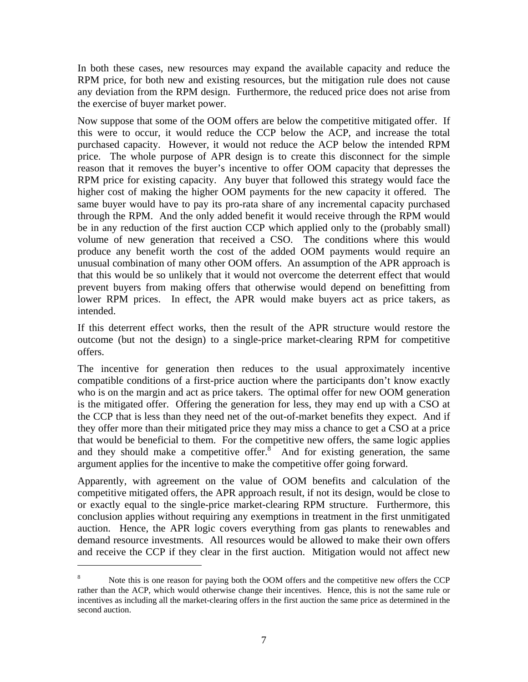In both these cases, new resources may expand the available capacity and reduce the RPM price, for both new and existing resources, but the mitigation rule does not cause any deviation from the RPM design. Furthermore, the reduced price does not arise from the exercise of buyer market power.

Now suppose that some of the OOM offers are below the competitive mitigated offer. If this were to occur, it would reduce the CCP below the ACP, and increase the total purchased capacity. However, it would not reduce the ACP below the intended RPM price. The whole purpose of APR design is to create this disconnect for the simple reason that it removes the buyer's incentive to offer OOM capacity that depresses the RPM price for existing capacity. Any buyer that followed this strategy would face the higher cost of making the higher OOM payments for the new capacity it offered. The same buyer would have to pay its pro-rata share of any incremental capacity purchased through the RPM. And the only added benefit it would receive through the RPM would be in any reduction of the first auction CCP which applied only to the (probably small) volume of new generation that received a CSO. The conditions where this would produce any benefit worth the cost of the added OOM payments would require an unusual combination of many other OOM offers. An assumption of the APR approach is that this would be so unlikely that it would not overcome the deterrent effect that would prevent buyers from making offers that otherwise would depend on benefitting from lower RPM prices. In effect, the APR would make buyers act as price takers, as intended.

If this deterrent effect works, then the result of the APR structure would restore the outcome (but not the design) to a single-price market-clearing RPM for competitive offers.

The incentive for generation then reduces to the usual approximately incentive compatible conditions of a first-price auction where the participants don't know exactly who is on the margin and act as price takers. The optimal offer for new OOM generation is the mitigated offer. Offering the generation for less, they may end up with a CSO at the CCP that is less than they need net of the out-of-market benefits they expect. And if they offer more than their mitigated price they may miss a chance to get a CSO at a price that would be beneficial to them. For the competitive new offers, the same logic applies and they should make a competitive offer. $s<sup>2</sup>$  And for existing generation, the same argument applies for the incentive to make the competitive offer going forward.

Apparently, with agreement on the value of OOM benefits and calculation of the competitive mitigated offers, the APR approach result, if not its design, would be close to or exactly equal to the single-price market-clearing RPM structure. Furthermore, this conclusion applies without requiring any exemptions in treatment in the first unmitigated auction. Hence, the APR logic covers everything from gas plants to renewables and demand resource investments. All resources would be allowed to make their own offers and receive the CCP if they clear in the first auction. Mitigation would not affect new

<sup>8</sup> Note this is one reason for paying both the OOM offers and the competitive new offers the CCP rather than the ACP, which would otherwise change their incentives. Hence, this is not the same rule or incentives as including all the market-clearing offers in the first auction the same price as determined in the second auction.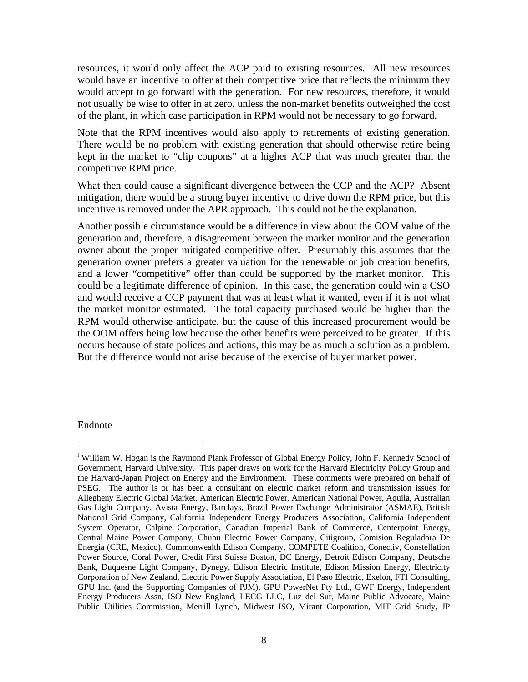resources, it would only affect the ACP paid to existing resources. All new resources would have an incentive to offer at their competitive price that reflects the minimum they would accept to go forward with the generation. For new resources, therefore, it would not usually be wise to offer in at zero, unless the non-market benefits outweighed the cost of the plant, in which case participation in RPM would not be necessary to go forward.

Note that the RPM incentives would also apply to retirements of existing generation. There would be no problem with existing generation that should otherwise retire being kept in the market to "clip coupons" at a higher ACP that was much greater than the competitive RPM price.

What then could cause a significant divergence between the CCP and the ACP? Absent mitigation, there would be a strong buyer incentive to drive down the RPM price, but this incentive is removed under the APR approach. This could not be the explanation.

Another possible circumstance would be a difference in view about the OOM value of the generation and, therefore, a disagreement between the market monitor and the generation owner about the proper mitigated competitive offer. Presumably this assumes that the generation owner prefers a greater valuation for the renewable or job creation benefits, and a lower "competitive" offer than could be supported by the market monitor. This could be a legitimate difference of opinion. In this case, the generation could win a CSO and would receive a CCP payment that was at least what it wanted, even if it is not what the market monitor estimated. The total capacity purchased would be higher than the RPM would otherwise anticipate, but the cause of this increased procurement would be the OOM offers being low because the other benefits were perceived to be greater. If this occurs because of state polices and actions, this may be as much a solution as a problem. But the difference would not arise because of the exercise of buyer market power.

#### Endnote

<sup>&</sup>lt;sup>i</sup> William W. Hogan is the Raymond Plank Professor of Global Energy Policy, John F. Kennedy School of Government, Harvard University. This paper draws on work for the Harvard Electricity Policy Group and the Harvard-Japan Project on Energy and the Environment. These comments were prepared on behalf of PSEG. The author is or has been a consultant on electric market reform and transmission issues for Allegheny Electric Global Market, American Electric Power, American National Power, Aquila, Australian Gas Light Company, Avista Energy, Barclays, Brazil Power Exchange Administrator (ASMAE), British National Grid Company, California Independent Energy Producers Association, California Independent System Operator, Calpine Corporation, Canadian Imperial Bank of Commerce, Centerpoint Energy, Central Maine Power Company, Chubu Electric Power Company, Citigroup, Comision Reguladora De Energia (CRE, Mexico), Commonwealth Edison Company, COMPETE Coalition, Conectiv, Constellation Power Source, Coral Power, Credit First Suisse Boston, DC Energy, Detroit Edison Company, Deutsche Bank, Duquesne Light Company, Dynegy, Edison Electric Institute, Edison Mission Energy, Electricity Corporation of New Zealand, Electric Power Supply Association, El Paso Electric, Exelon, FTI Consulting, GPU Inc. (and the Supporting Companies of PJM), GPU PowerNet Pty Ltd., GWF Energy, Independent Energy Producers Assn, ISO New England, LECG LLC, Luz del Sur, Maine Public Advocate, Maine Public Utilities Commission, Merrill Lynch, Midwest ISO, Mirant Corporation, MIT Grid Study, JP